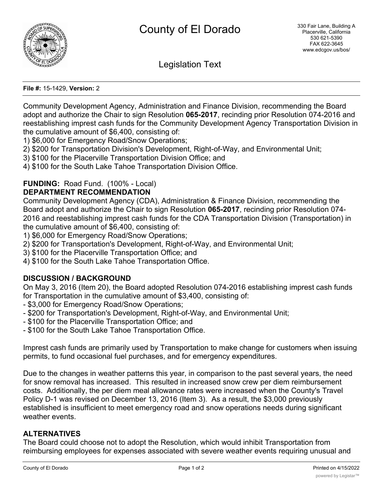

Legislation Text

#### **File #:** 15-1429, **Version:** 2

Community Development Agency, Administration and Finance Division, recommending the Board adopt and authorize the Chair to sign Resolution **065-2017**, recinding prior Resolution 074-2016 and reestablishing imprest cash funds for the Community Development Agency Transportation Division in the cumulative amount of \$6,400, consisting of:

1) \$6,000 for Emergency Road/Snow Operations;

- 2) \$200 for Transportation Division's Development, Right-of-Way, and Environmental Unit;
- 3) \$100 for the Placerville Transportation Division Office; and

4) \$100 for the South Lake Tahoe Transportation Division Office.

# **FUNDING:** Road Fund. (100% - Local)

### **DEPARTMENT RECOMMENDATION**

Community Development Agency (CDA), Administration & Finance Division, recommending the Board adopt and authorize the Chair to sign Resolution **065-2017**, recinding prior Resolution 074- 2016 and reestablishing imprest cash funds for the CDA Transportation Division (Transportation) in the cumulative amount of \$6,400, consisting of:

1) \$6,000 for Emergency Road/Snow Operations;

- 2) \$200 for Transportation's Development, Right-of-Way, and Environmental Unit;
- 3) \$100 for the Placerville Transportation Office; and
- 4) \$100 for the South Lake Tahoe Transportation Office.

# **DISCUSSION / BACKGROUND**

On May 3, 2016 (Item 20), the Board adopted Resolution 074-2016 establishing imprest cash funds for Transportation in the cumulative amount of \$3,400, consisting of:

- \$3,000 for Emergency Road/Snow Operations;
- \$200 for Transportation's Development, Right-of-Way, and Environmental Unit;
- \$100 for the Placerville Transportation Office; and
- \$100 for the South Lake Tahoe Transportation Office.

Imprest cash funds are primarily used by Transportation to make change for customers when issuing permits, to fund occasional fuel purchases, and for emergency expenditures.

Due to the changes in weather patterns this year, in comparison to the past several years, the need for snow removal has increased. This resulted in increased snow crew per diem reimbursement costs. Additionally, the per diem meal allowance rates were increased when the County's Travel Policy D-1 was revised on December 13, 2016 (Item 3). As a result, the \$3,000 previously established is insufficient to meet emergency road and snow operations needs during significant weather events.

# **ALTERNATIVES**

The Board could choose not to adopt the Resolution, which would inhibit Transportation from reimbursing employees for expenses associated with severe weather events requiring unusual and